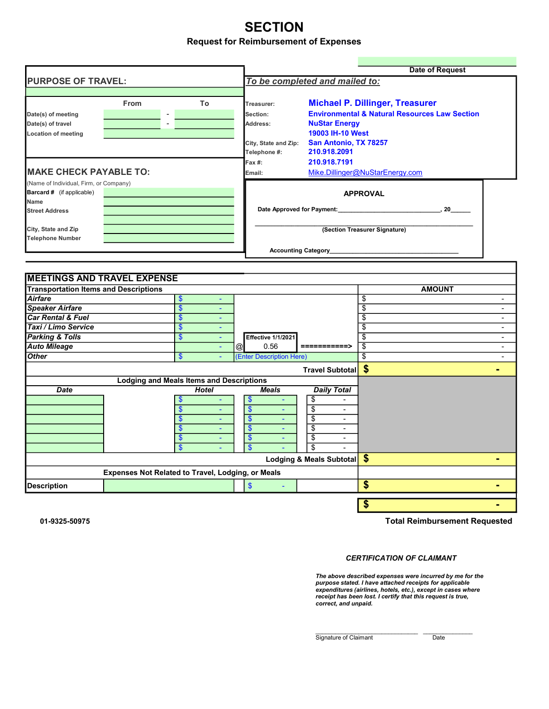## **SECTION** Request for Reimbursement of Expenses

|                                              |                                                                                                                                                  |                   |                |                                      | <b>Date of Request</b>                                   |                                        |                |  |  |  |  |
|----------------------------------------------|--------------------------------------------------------------------------------------------------------------------------------------------------|-------------------|----------------|--------------------------------------|----------------------------------------------------------|----------------------------------------|----------------|--|--|--|--|
| <b>PURPOSE OF TRAVEL:</b>                    | From<br>To<br>$\blacksquare$<br>$\sim$<br><b>Location of meeting</b><br><b>IMAKE CHECK PAYABLE TO:</b><br>(Name of Individual, Firm, or Company) |                   |                | To be completed and mailed to:       |                                                          |                                        |                |  |  |  |  |
|                                              |                                                                                                                                                  |                   |                | Treasurer:                           |                                                          | <b>Michael P. Dillinger, Treasurer</b> |                |  |  |  |  |
|                                              |                                                                                                                                                  |                   |                |                                      | <b>Environmental &amp; Natural Resources Law Section</b> |                                        |                |  |  |  |  |
| Date(s) of meeting                           |                                                                                                                                                  |                   |                | Section:                             |                                                          |                                        |                |  |  |  |  |
| Date(s) of travel                            |                                                                                                                                                  |                   |                | Address:                             | <b>NuStar Energy</b><br>19003 IH-10 West                 |                                        |                |  |  |  |  |
|                                              |                                                                                                                                                  |                   |                |                                      |                                                          |                                        |                |  |  |  |  |
|                                              |                                                                                                                                                  |                   |                | City, State and Zip:<br>Telephone #: | San Antonio, TX 78257<br>210.918.2091                    |                                        |                |  |  |  |  |
|                                              |                                                                                                                                                  |                   |                |                                      | 210.918.7191                                             |                                        |                |  |  |  |  |
|                                              |                                                                                                                                                  |                   |                |                                      | $Fax#$ :<br>Mike.Dillinger@NuStarEnergy.com              |                                        |                |  |  |  |  |
|                                              |                                                                                                                                                  |                   |                | Email:                               |                                                          |                                        |                |  |  |  |  |
| Barcard # (if applicable)                    |                                                                                                                                                  |                   |                |                                      |                                                          |                                        |                |  |  |  |  |
| Name                                         |                                                                                                                                                  |                   |                |                                      |                                                          | <b>APPROVAL</b>                        |                |  |  |  |  |
| <b>Street Address</b>                        |                                                                                                                                                  |                   |                |                                      |                                                          |                                        |                |  |  |  |  |
|                                              |                                                                                                                                                  |                   |                |                                      |                                                          |                                        |                |  |  |  |  |
| City, State and Zip                          |                                                                                                                                                  |                   |                |                                      | (Section Treasurer Signature)                            |                                        |                |  |  |  |  |
| <b>Telephone Number</b>                      |                                                                                                                                                  |                   |                |                                      |                                                          |                                        |                |  |  |  |  |
|                                              |                                                                                                                                                  |                   |                |                                      | <b>Accounting Category</b>                               |                                        |                |  |  |  |  |
|                                              |                                                                                                                                                  |                   |                |                                      |                                                          |                                        |                |  |  |  |  |
|                                              |                                                                                                                                                  |                   |                |                                      |                                                          |                                        |                |  |  |  |  |
| <b>MEETINGS AND TRAVEL EXPENSE</b>           |                                                                                                                                                  |                   |                |                                      |                                                          |                                        |                |  |  |  |  |
| <b>Transportation Items and Descriptions</b> |                                                                                                                                                  |                   |                |                                      |                                                          | <b>AMOUNT</b>                          |                |  |  |  |  |
| <b>Airfare</b>                               |                                                                                                                                                  | $\boldsymbol{\$}$ | ٠              |                                      |                                                          | \$                                     |                |  |  |  |  |
| <b>Speaker Airfare</b>                       |                                                                                                                                                  | $\mathbf{\$}$     | $\blacksquare$ |                                      |                                                          | \$                                     |                |  |  |  |  |
| Car Rental & Fuel                            |                                                                                                                                                  | $\mathbf{\$}$     | ٠              |                                      |                                                          |                                        | $\sim$         |  |  |  |  |
| Taxi / Limo Service                          |                                                                                                                                                  | \$                | $\sim$         |                                      |                                                          |                                        | $\sim$         |  |  |  |  |
| <b>Parking &amp; Tolls</b>                   |                                                                                                                                                  | \$                | $\sim$         | Effective 1/1/2021                   |                                                          | £.                                     |                |  |  |  |  |
| <b>Auto Mileage</b>                          |                                                                                                                                                  |                   | $\omega$       | 0.56<br>$  \circledcirc$             | ===========>                                             | \$                                     |                |  |  |  |  |
| <b>Other</b>                                 |                                                                                                                                                  | $\mathbf{\$}$     |                | (Enter Description Here)             |                                                          | \$                                     |                |  |  |  |  |
|                                              |                                                                                                                                                  |                   |                |                                      | <b>Travel Subtotal</b>                                   | \$                                     | $\blacksquare$ |  |  |  |  |
|                                              | <b>Lodging and Meals Items and Descriptions</b>                                                                                                  |                   |                |                                      |                                                          |                                        |                |  |  |  |  |
| <b>Date</b>                                  |                                                                                                                                                  |                   | Hotel          | Meals                                | <b>Daily Total</b>                                       |                                        |                |  |  |  |  |
|                                              |                                                                                                                                                  | \$                |                | $\sqrt[6]{3}$                        | \$                                                       |                                        |                |  |  |  |  |
|                                              |                                                                                                                                                  | $\mathbf{s}$      |                | $\mathbf{s}$                         | \$                                                       |                                        |                |  |  |  |  |

|             |                                                   | Lodging & Meals Subtotal <b>\$</b> |  |  |  |  |
|-------------|---------------------------------------------------|------------------------------------|--|--|--|--|
|             | Expenses Not Related to Travel, Lodging, or Meals |                                    |  |  |  |  |
| Description |                                                   |                                    |  |  |  |  |
|             |                                                   |                                    |  |  |  |  |

01-9325-50975

Total Reimbursement Requested

 $\sim$  5  $-$ 

CERTIFICATION OF CLAIMANT

The above described expenses were incurred by me for the purpose stated. I have attached receipts for applicable expenditures (airlines, hotels, etc.), except in cases where receipt has been lost. I certify that this request is true, correct, and unpaid.

Signature of Claimant Date

 $\_$  , and the set of the set of the set of the set of the set of the set of the set of the set of the set of the set of the set of the set of the set of the set of the set of the set of the set of the set of the set of th